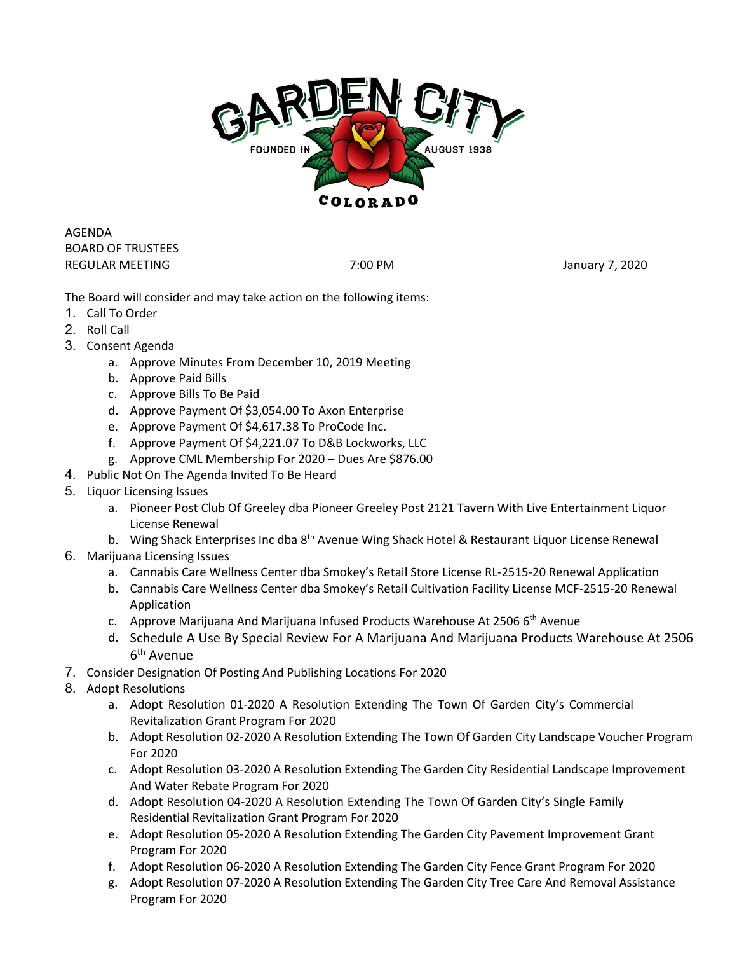

AGENDA BOARD OF TRUSTEES REGULAR MEETING **The CONSTRUCTER CONSTRUCTED ASSESSED** 7:00 PM **The CONSTRUCTER STATE** Service of the USD 3010 Service of the USD 3010 Service of the USD 3010 Service of the USD 3010 Service of the USD 3010 Service of the

The Board will consider and may take action on the following items:

- 1. Call To Order
- 2. Roll Call
- 3. Consent Agenda
	- a. Approve Minutes From December 10, 2019 Meeting
	- b. Approve Paid Bills
	- c. Approve Bills To Be Paid
	- d. Approve Payment Of \$3,054.00 To Axon Enterprise
	- e. Approve Payment Of \$4,617.38 To ProCode Inc.
	- f. Approve Payment Of \$4,221.07 To D&B Lockworks, LLC
	- g. Approve CML Membership For 2020 Dues Are \$876.00
- 4. Public Not On The Agenda Invited To Be Heard
- 5. Liquor Licensing Issues
	- a. Pioneer Post Club Of Greeley dba Pioneer Greeley Post 2121 Tavern With Live Entertainment Liquor License Renewal
	- b. Wing Shack Enterprises Inc dba 8<sup>th</sup> Avenue Wing Shack Hotel & Restaurant Liquor License Renewal
- 6. Marijuana Licensing Issues
	- a. Cannabis Care Wellness Center dba Smokey's Retail Store License RL-2515-20 Renewal Application
	- b. Cannabis Care Wellness Center dba Smokey's Retail Cultivation Facility License MCF-2515-20 Renewal Application
	- c. Approve Marijuana And Marijuana Infused Products Warehouse At 2506  $6<sup>th</sup>$  Avenue
	- d. Schedule A Use By Special Review For A Marijuana And Marijuana Products Warehouse At 2506 6th Avenue
- 7. Consider Designation Of Posting And Publishing Locations For 2020
- 8. Adopt Resolutions
	- a. Adopt Resolution 01-2020 A Resolution Extending The Town Of Garden City's Commercial Revitalization Grant Program For 2020
	- b. Adopt Resolution 02-2020 A Resolution Extending The Town Of Garden City Landscape Voucher Program For 2020
	- c. Adopt Resolution 03-2020 A Resolution Extending The Garden City Residential Landscape Improvement And Water Rebate Program For 2020
	- d. Adopt Resolution 04-2020 A Resolution Extending The Town Of Garden City's Single Family Residential Revitalization Grant Program For 2020
	- e. Adopt Resolution 05-2020 A Resolution Extending The Garden City Pavement Improvement Grant Program For 2020
	- f. Adopt Resolution 06-2020 A Resolution Extending The Garden City Fence Grant Program For 2020
	- g. Adopt Resolution 07-2020 A Resolution Extending The Garden City Tree Care And Removal Assistance Program For 2020